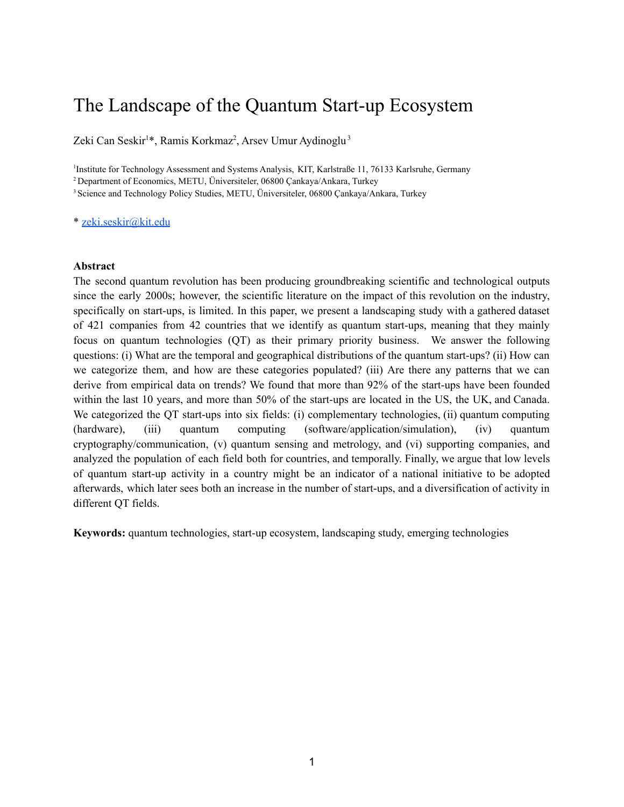# The Landscape of the Quantum Start-up Ecosystem

Zeki Can Seskir<sup>1\*</sup>, Ramis Korkmaz<sup>2</sup>, Arsev Umur Aydinoglu<sup>3</sup>

1 Institute for Technology Assessment and Systems Analysis, KIT, Karlstraße 11, 76133 Karlsruhe, Germany

<sup>2</sup> Department of Economics, METU, Üniversiteler, 06800 Çankaya/Ankara, Turkey

<sup>3</sup> Science and Technology Policy Studies, METU, Üniversiteler, 06800 Cankaya/Ankara, Turkey

\* [zeki.seskir@kit.edu](mailto:zeki.seskir@kit.edu)

#### **Abstract**

The second quantum revolution has been producing groundbreaking scientific and technological outputs since the early 2000s; however, the scientific literature on the impact of this revolution on the industry, specifically on start-ups, is limited. In this paper, we present a landscaping study with a gathered dataset of 421 companies from 42 countries that we identify as quantum start-ups, meaning that they mainly focus on quantum technologies (QT) as their primary priority business. We answer the following questions: (i) What are the temporal and geographical distributions of the quantum start-ups? (ii) How can we categorize them, and how are these categories populated? (iii) Are there any patterns that we can derive from empirical data on trends? We found that more than 92% of the start-ups have been founded within the last 10 years, and more than 50% of the start-ups are located in the US, the UK, and Canada. We categorized the QT start-ups into six fields: (i) complementary technologies, (ii) quantum computing (hardware), (iii) quantum computing (software/application/simulation), (iv) quantum cryptography/communication, (v) quantum sensing and metrology, and (vi) supporting companies, and analyzed the population of each field both for countries, and temporally. Finally, we argue that low levels of quantum start-up activity in a country might be an indicator of a national initiative to be adopted afterwards, which later sees both an increase in the number of start-ups, and a diversification of activity in different QT fields.

**Keywords:** quantum technologies, start-up ecosystem, landscaping study, emerging technologies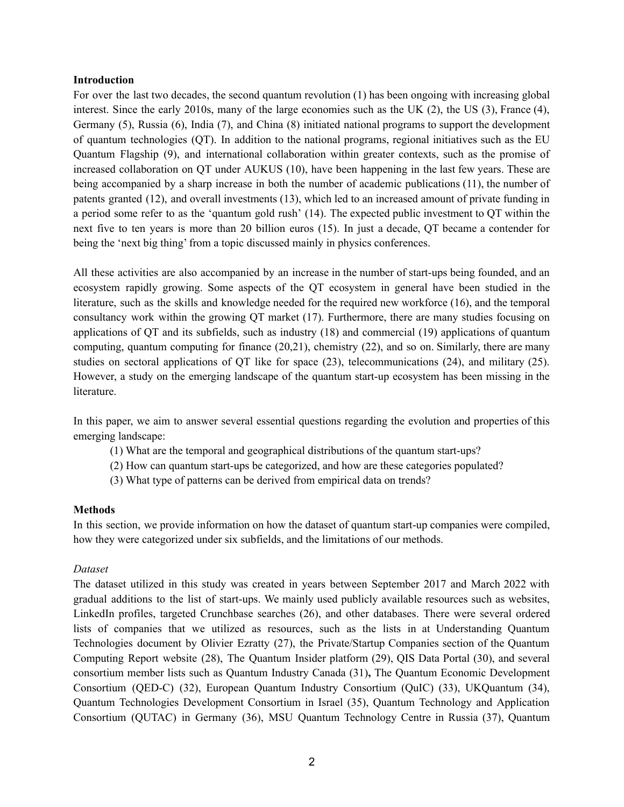#### **Introduction**

For over the last two decades, the second quantum revolution [\(1\)](https://www.zotero.org/google-docs/?Ffsu4t) has been ongoing with increasing global interest. Since the early 2010s, many of the large economies such as the UK [\(2\)](https://www.zotero.org/google-docs/?CZeDDM), the US [\(3\),](https://www.zotero.org/google-docs/?15q9NV) France [\(4\),](https://www.zotero.org/google-docs/?n9rnZW) Germany [\(5\)](https://www.zotero.org/google-docs/?qbpo9k), Russia [\(6\)](https://www.zotero.org/google-docs/?UTghha), India [\(7\)](https://www.zotero.org/google-docs/?vzCEzH), and China [\(8\)](https://www.zotero.org/google-docs/?cJb7Qd) initiated national programs to support the development of quantum technologies (QT). In addition to the national programs, regional initiatives such as the EU Quantum Flagship [\(9\),](https://www.zotero.org/google-docs/?X9eNkZ) and international collaboration within greater contexts, such as the promise of increased collaboration on QT under AUKUS [\(10\)](https://www.zotero.org/google-docs/?UIgp7N), have been happening in the last few years. These are being accompanied by a sharp increase in both the number of academic publications [\(11\)](https://www.zotero.org/google-docs/?TUaces), the number of patents granted [\(12\)](https://www.zotero.org/google-docs/?7JdfYA), and overall investments [\(13\)](https://www.zotero.org/google-docs/?0xvi6l), which led to an increased amount of private funding in a period some refer to as the 'quantum gold rush' [\(14\).](https://www.zotero.org/google-docs/?yzV2u0) The expected public investment to QT within the next five to ten years is more than 20 billion euros [\(15\).](https://www.zotero.org/google-docs/?RrO3vE) In just a decade, QT became a contender for being the 'next big thing' from a topic discussed mainly in physics conferences.

All these activities are also accompanied by an increase in the number of start-ups being founded, and an ecosystem rapidly growing. Some aspects of the QT ecosystem in general have been studied in the literature, such as the skills and knowledge needed for the required new workforce [\(16\)](https://www.zotero.org/google-docs/?BOewyV), and the temporal consultancy work within the growing QT market [\(17\)](https://www.zotero.org/google-docs/?V1Zolj). Furthermore, there are many studies focusing on applications of QT and its subfields, such as industry [\(18\)](https://www.zotero.org/google-docs/?cCTJwN) and commercial [\(19\)](https://www.zotero.org/google-docs/?CD321P) applications of quantum computing, quantum computing for finance [\(20,21\),](https://www.zotero.org/google-docs/?3iofFV) chemistry [\(22\)](https://www.zotero.org/google-docs/?QzZfol), and so on. Similarly, there are many studies on sectoral applications of QT like for space [\(23\),](https://www.zotero.org/google-docs/?4UJl15) telecommunications [\(24\),](https://www.zotero.org/google-docs/?eL9mK7) and military [\(25\).](https://www.zotero.org/google-docs/?iOL6fC) However, a study on the emerging landscape of the quantum start-up ecosystem has been missing in the literature.

In this paper, we aim to answer several essential questions regarding the evolution and properties of this emerging landscape:

- (1) What are the temporal and geographical distributions of the quantum start-ups?
- (2) How can quantum start-ups be categorized, and how are these categories populated?
- (3) What type of patterns can be derived from empirical data on trends?

## **Methods**

In this section, we provide information on how the dataset of quantum start-up companies were compiled, how they were categorized under six subfields, and the limitations of our methods.

## *Dataset*

The dataset utilized in this study was created in years between September 2017 and March 2022 with gradual additions to the list of start-ups. We mainly used publicly available resources such as websites, LinkedIn profiles, targeted Crunchbase searches [\(26\)](https://www.zotero.org/google-docs/?oQiNbe), and other databases. There were several ordered lists of companies that we utilized as resources, such as the lists in at Understanding Quantum Technologies document by Olivier Ezratty [\(27\)](https://www.zotero.org/google-docs/?iiwReR), the Private/Startup Companies section of the Quantum Computing Report website [\(28\)](https://www.zotero.org/google-docs/?DJ8rgf), The Quantum Insider platform [\(29\)](https://www.zotero.org/google-docs/?ba3TRE), QIS Data Portal [\(30\),](https://www.zotero.org/google-docs/?9zBd2U) and several consortium member lists such as Quantum Industry Canada [\(31\)](https://www.zotero.org/google-docs/?uEYWTH)**,** The Quantum Economic Development Consortium (QED-C) [\(32\),](https://www.zotero.org/google-docs/?nusNam) European Quantum Industry Consortium (QuIC) [\(33\),](https://www.zotero.org/google-docs/?PLVKmC) UKQuantum [\(34\),](https://www.zotero.org/google-docs/?Fo64gi) Quantum Technologies Development Consortium in Israel [\(35\)](https://www.zotero.org/google-docs/?WwGYwr), Quantum Technology and Application Consortium (QUTAC) in Germany [\(36\),](https://www.zotero.org/google-docs/?Bs0DGL) MSU Quantum Technology Centre in Russia [\(37\),](https://www.zotero.org/google-docs/?ZuJztm) Quantum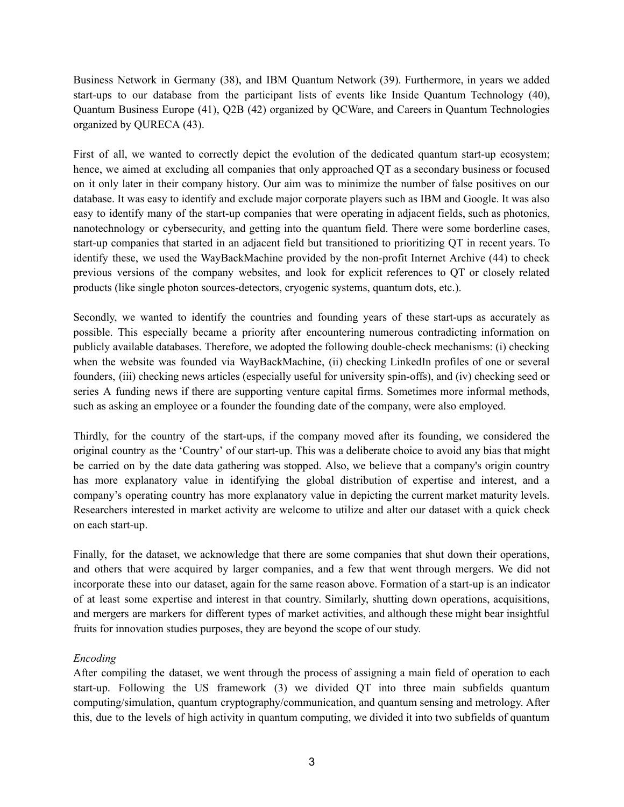Business Network in Germany [\(38\)](https://www.zotero.org/google-docs/?y7YDp8), and IBM Quantum Network [\(39\)](https://www.zotero.org/google-docs/?kSY4kO). Furthermore, in years we added start-ups to our database from the participant lists of events like Inside Quantum Technology [\(40\)](https://www.zotero.org/google-docs/?nzgdI4), Quantum Business Europe [\(41\),](https://www.zotero.org/google-docs/?FfuEnf) Q2B [\(42\)](https://www.zotero.org/google-docs/?yhTSQs) organized by QCWare, and Careers in Quantum Technologies organized by QURECA [\(43\).](https://www.zotero.org/google-docs/?DYIfMd)

First of all, we wanted to correctly depict the evolution of the dedicated quantum start-up ecosystem; hence, we aimed at excluding all companies that only approached QT as a secondary business or focused on it only later in their company history. Our aim was to minimize the number of false positives on our database. It was easy to identify and exclude major corporate players such as IBM and Google. It was also easy to identify many of the start-up companies that were operating in adjacent fields, such as photonics, nanotechnology or cybersecurity, and getting into the quantum field. There were some borderline cases, start-up companies that started in an adjacent field but transitioned to prioritizing QT in recent years. To identify these, we used the WayBackMachine provided by the non-profit Internet Archive [\(44\)](https://www.zotero.org/google-docs/?uaIHaJ) to check previous versions of the company websites, and look for explicit references to QT or closely related products (like single photon sources-detectors, cryogenic systems, quantum dots, etc.).

Secondly, we wanted to identify the countries and founding years of these start-ups as accurately as possible. This especially became a priority after encountering numerous contradicting information on publicly available databases. Therefore, we adopted the following double-check mechanisms: (i) checking when the website was founded via WayBackMachine, (ii) checking LinkedIn profiles of one or several founders, (iii) checking news articles (especially useful for university spin-offs), and (iv) checking seed or series A funding news if there are supporting venture capital firms. Sometimes more informal methods, such as asking an employee or a founder the founding date of the company, were also employed.

Thirdly, for the country of the start-ups, if the company moved after its founding, we considered the original country as the 'Country' of our start-up. This was a deliberate choice to avoid any bias that might be carried on by the date data gathering was stopped. Also, we believe that a company's origin country has more explanatory value in identifying the global distribution of expertise and interest, and a company's operating country has more explanatory value in depicting the current market maturity levels. Researchers interested in market activity are welcome to utilize and alter our dataset with a quick check on each start-up.

Finally, for the dataset, we acknowledge that there are some companies that shut down their operations, and others that were acquired by larger companies, and a few that went through mergers. We did not incorporate these into our dataset, again for the same reason above. Formation of a start-up is an indicator of at least some expertise and interest in that country. Similarly, shutting down operations, acquisitions, and mergers are markers for different types of market activities, and although these might bear insightful fruits for innovation studies purposes, they are beyond the scope of our study.

# *Encoding*

After compiling the dataset, we went through the process of assigning a main field of operation to each start-up. Following the US framework [\(3\)](https://www.zotero.org/google-docs/?oQRESC) we divided QT into three main subfields quantum computing/simulation, quantum cryptography/communication, and quantum sensing and metrology. After this, due to the levels of high activity in quantum computing, we divided it into two subfields of quantum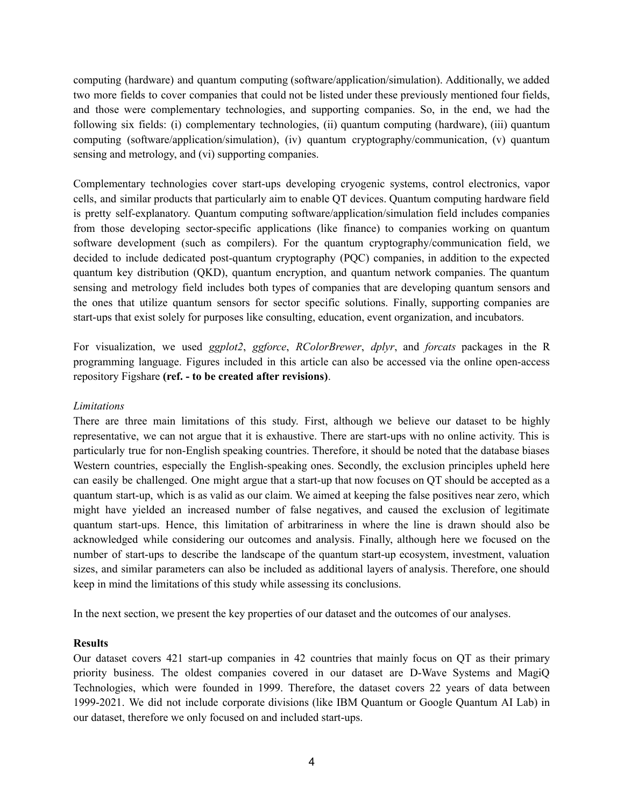computing (hardware) and quantum computing (software/application/simulation). Additionally, we added two more fields to cover companies that could not be listed under these previously mentioned four fields, and those were complementary technologies, and supporting companies. So, in the end, we had the following six fields: (i) complementary technologies, (ii) quantum computing (hardware), (iii) quantum computing (software/application/simulation), (iv) quantum cryptography/communication, (v) quantum sensing and metrology, and (vi) supporting companies.

Complementary technologies cover start-ups developing cryogenic systems, control electronics, vapor cells, and similar products that particularly aim to enable QT devices. Quantum computing hardware field is pretty self-explanatory. Quantum computing software/application/simulation field includes companies from those developing sector-specific applications (like finance) to companies working on quantum software development (such as compilers). For the quantum cryptography/communication field, we decided to include dedicated post-quantum cryptography (PQC) companies, in addition to the expected quantum key distribution (QKD), quantum encryption, and quantum network companies. The quantum sensing and metrology field includes both types of companies that are developing quantum sensors and the ones that utilize quantum sensors for sector specific solutions. Finally, supporting companies are start-ups that exist solely for purposes like consulting, education, event organization, and incubators.

For visualization, we used *ggplot2*, *ggforce*, *RColorBrewer*, *dplyr*, and *forcats* packages in the R programming language. Figures included in this article can also be accessed via the online open-access repository Figshare **(ref. - to be created after revisions)**.

## *Limitations*

There are three main limitations of this study. First, although we believe our dataset to be highly representative, we can not argue that it is exhaustive. There are start-ups with no online activity. This is particularly true for non-English speaking countries. Therefore, it should be noted that the database biases Western countries, especially the English-speaking ones. Secondly, the exclusion principles upheld here can easily be challenged. One might argue that a start-up that now focuses on QT should be accepted as a quantum start-up, which is as valid as our claim. We aimed at keeping the false positives near zero, which might have yielded an increased number of false negatives, and caused the exclusion of legitimate quantum start-ups. Hence, this limitation of arbitrariness in where the line is drawn should also be acknowledged while considering our outcomes and analysis. Finally, although here we focused on the number of start-ups to describe the landscape of the quantum start-up ecosystem, investment, valuation sizes, and similar parameters can also be included as additional layers of analysis. Therefore, one should keep in mind the limitations of this study while assessing its conclusions.

In the next section, we present the key properties of our dataset and the outcomes of our analyses.

## **Results**

Our dataset covers 421 start-up companies in 42 countries that mainly focus on QT as their primary priority business. The oldest companies covered in our dataset are D-Wave Systems and MagiQ Technologies, which were founded in 1999. Therefore, the dataset covers 22 years of data between 1999-2021. We did not include corporate divisions (like IBM Quantum or Google Quantum AI Lab) in our dataset, therefore we only focused on and included start-ups.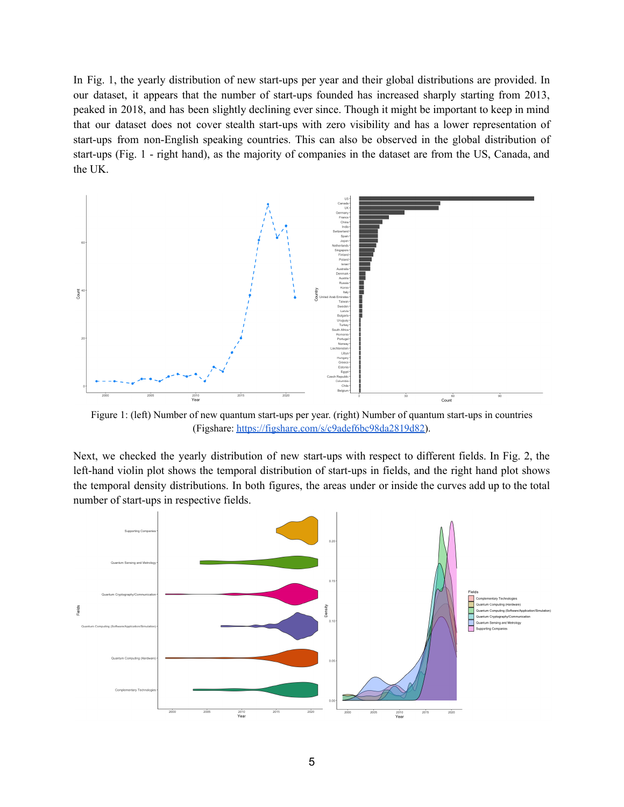In Fig. 1, the yearly distribution of new start-ups per year and their global distributions are provided. In our dataset, it appears that the number of start-ups founded has increased sharply starting from 2013, peaked in 2018, and has been slightly declining ever since. Though it might be important to keep in mind that our dataset does not cover stealth start-ups with zero visibility and has a lower representation of start-ups from non-English speaking countries. This can also be observed in the global distribution of start-ups (Fig. 1 - right hand), as the majority of companies in the dataset are from the US, Canada, and the UK.



Figure 1: (left) Number of new quantum start-ups per year. (right) Number of quantum start-ups in countries (Figshare: [https://figshare.com/s/c9adef6bc98da2819d82\)](https://figshare.com/s/c9adef6bc98da2819d82).

Next, we checked the yearly distribution of new start-ups with respect to different fields. In Fig. 2, the left-hand violin plot shows the temporal distribution of start-ups in fields, and the right hand plot shows the temporal density distributions. In both figures, the areas under or inside the curves add up to the total number of start-ups in respective fields.

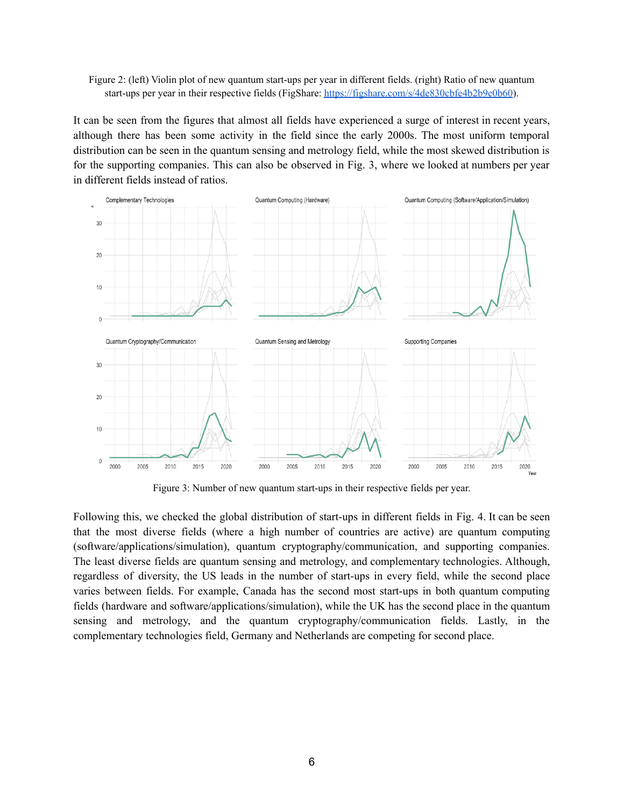Figure 2: (left) Violin plot of new quantum start-ups per year in different fields. (right) Ratio of new quantum start-ups per year in their respective fields (FigShare: <https://figshare.com/s/4de830cbfe4b2b9e0b60>).

It can be seen from the figures that almost all fields have experienced a surge of interest in recent years, although there has been some activity in the field since the early 2000s. The most uniform temporal distribution can be seen in the quantum sensing and metrology field, while the most skewed distribution is for the supporting companies. This can also be observed in Fig. 3, where we looked at numbers per year in different fields instead of ratios.



Figure 3: Number of new quantum start-ups in their respective fields per year.

Following this, we checked the global distribution of start-ups in different fields in Fig. 4. It can be seen that the most diverse fields (where a high number of countries are active) are quantum computing (software/applications/simulation), quantum cryptography/communication, and supporting companies. The least diverse fields are quantum sensing and metrology, and complementary technologies. Although, regardless of diversity, the US leads in the number of start-ups in every field, while the second place varies between fields. For example, Canada has the second most start-ups in both quantum computing fields (hardware and software/applications/simulation), while the UK has the second place in the quantum sensing and metrology, and the quantum cryptography/communication fields. Lastly, in the complementary technologies field, Germany and Netherlands are competing for second place.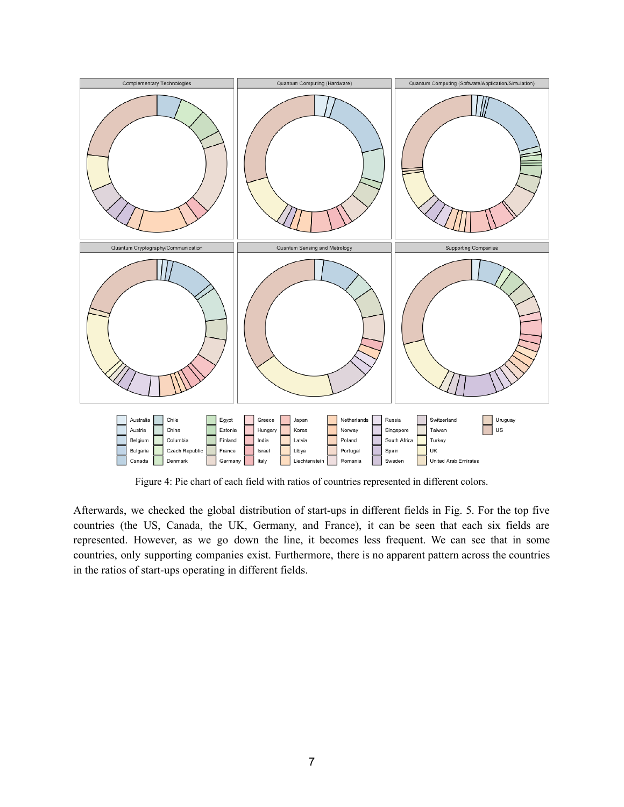

Figure 4: Pie chart of each field with ratios of countries represented in different colors.

Afterwards, we checked the global distribution of start-ups in different fields in Fig. 5. For the top five countries (the US, Canada, the UK, Germany, and France), it can be seen that each six fields are represented. However, as we go down the line, it becomes less frequent. We can see that in some countries, only supporting companies exist. Furthermore, there is no apparent pattern across the countries in the ratios of start-ups operating in different fields.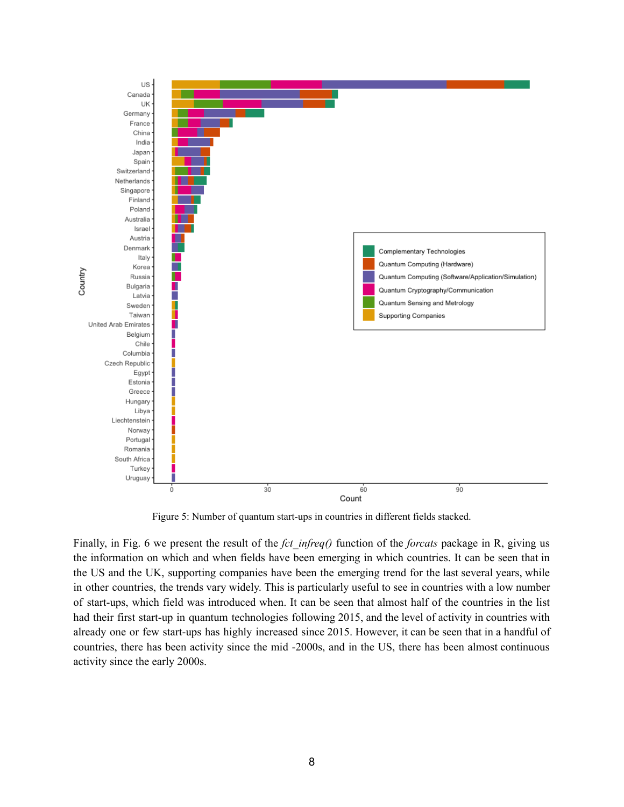

Figure 5: Number of quantum start-ups in countries in different fields stacked.

Finally, in Fig. 6 we present the result of the *fct* infreq() function of the *forcats* package in R, giving us the information on which and when fields have been emerging in which countries. It can be seen that in the US and the UK, supporting companies have been the emerging trend for the last several years, while in other countries, the trends vary widely. This is particularly useful to see in countries with a low number of start-ups, which field was introduced when. It can be seen that almost half of the countries in the list had their first start-up in quantum technologies following 2015, and the level of activity in countries with already one or few start-ups has highly increased since 2015. However, it can be seen that in a handful of countries, there has been activity since the mid -2000s, and in the US, there has been almost continuous activity since the early 2000s.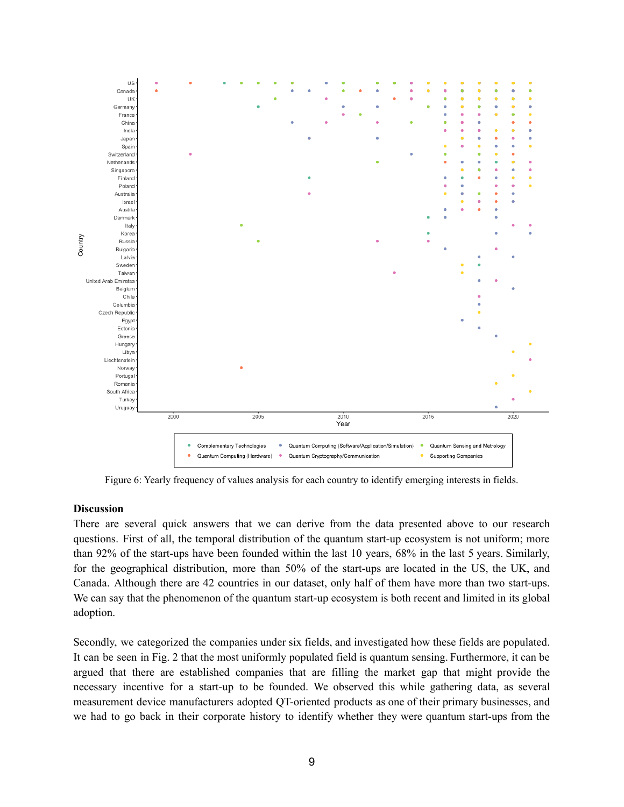

Figure 6: Yearly frequency of values analysis for each country to identify emerging interests in fields.

#### **Discussion**

There are several quick answers that we can derive from the data presented above to our research questions. First of all, the temporal distribution of the quantum start-up ecosystem is not uniform; more than 92% of the start-ups have been founded within the last 10 years, 68% in the last 5 years. Similarly, for the geographical distribution, more than 50% of the start-ups are located in the US, the UK, and Canada. Although there are 42 countries in our dataset, only half of them have more than two start-ups. We can say that the phenomenon of the quantum start-up ecosystem is both recent and limited in its global adoption.

Secondly, we categorized the companies under six fields, and investigated how these fields are populated. It can be seen in Fig. 2 that the most uniformly populated field is quantum sensing. Furthermore, it can be argued that there are established companies that are filling the market gap that might provide the necessary incentive for a start-up to be founded. We observed this while gathering data, as several measurement device manufacturers adopted QT-oriented products as one of their primary businesses, and we had to go back in their corporate history to identify whether they were quantum start-ups from the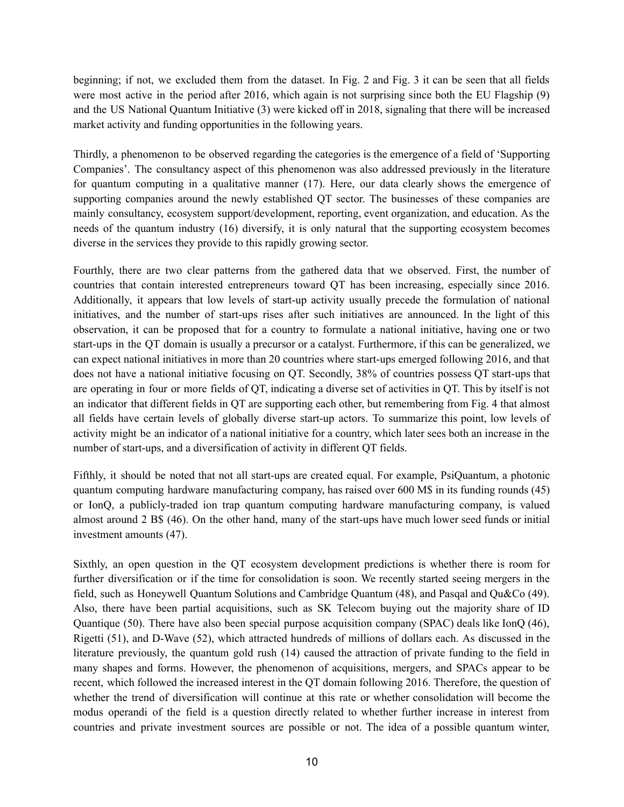beginning; if not, we excluded them from the dataset. In Fig. 2 and Fig. 3 it can be seen that all fields were most active in the period after 2016, which again is not surprising since both the EU Flagship [\(9\)](https://www.zotero.org/google-docs/?4DvN0k) and the US National Quantum Initiative [\(3\)](https://www.zotero.org/google-docs/?5aqiPj) were kicked off in 2018, signaling that there will be increased market activity and funding opportunities in the following years.

Thirdly, a phenomenon to be observed regarding the categories is the emergence of a field of 'Supporting Companies'. The consultancy aspect of this phenomenon was also addressed previously in the literature for quantum computing in a qualitative manner [\(17\)](https://www.zotero.org/google-docs/?dkBBZe). Here, our data clearly shows the emergence of supporting companies around the newly established QT sector. The businesses of these companies are mainly consultancy, ecosystem support/development, reporting, event organization, and education. As the needs of the quantum industry [\(16\)](https://www.zotero.org/google-docs/?PCZoWx) diversify, it is only natural that the supporting ecosystem becomes diverse in the services they provide to this rapidly growing sector.

Fourthly, there are two clear patterns from the gathered data that we observed. First, the number of countries that contain interested entrepreneurs toward QT has been increasing, especially since 2016. Additionally, it appears that low levels of start-up activity usually precede the formulation of national initiatives, and the number of start-ups rises after such initiatives are announced. In the light of this observation, it can be proposed that for a country to formulate a national initiative, having one or two start-ups in the QT domain is usually a precursor or a catalyst. Furthermore, if this can be generalized, we can expect national initiatives in more than 20 countries where start-ups emerged following 2016, and that does not have a national initiative focusing on QT. Secondly, 38% of countries possess QT start-ups that are operating in four or more fields of QT, indicating a diverse set of activities in QT. This by itself is not an indicator that different fields in QT are supporting each other, but remembering from Fig. 4 that almost all fields have certain levels of globally diverse start-up actors. To summarize this point, low levels of activity might be an indicator of a national initiative for a country, which later sees both an increase in the number of start-ups, and a diversification of activity in different QT fields.

Fifthly, it should be noted that not all start-ups are created equal. For example, PsiQuantum, a photonic quantum computing hardware manufacturing company, has raised over 600 M\$ in its funding rounds [\(45\)](https://www.zotero.org/google-docs/?GlV6qd) or IonQ, a publicly-traded ion trap quantum computing hardware manufacturing company, is valued almost around 2 B\$ [\(46\)](https://www.zotero.org/google-docs/?xkU9xX). On the other hand, many of the start-ups have much lower seed funds or initial investment amounts [\(47\)](https://www.zotero.org/google-docs/?ZSYOWN).

Sixthly, an open question in the QT ecosystem development predictions is whether there is room for further diversification or if the time for consolidation is soon. We recently started seeing mergers in the field, such as Honeywell Quantum Solutions and Cambridge Quantum [\(48\),](https://www.zotero.org/google-docs/?GiMJ1Q) and Pasqal and Qu&Co [\(49\).](https://www.zotero.org/google-docs/?sPROAB) Also, there have been partial acquisitions, such as SK Telecom buying out the majority share of ID Quantique [\(50\).](https://www.zotero.org/google-docs/?IDutfR) There have also been special purpose acquisition company (SPAC) deals like IonQ [\(46\),](https://www.zotero.org/google-docs/?FKQLNq) Rigetti [\(51\),](https://www.zotero.org/google-docs/?E5VV4a) and D-Wave [\(52\),](https://www.zotero.org/google-docs/?M4qCIa) which attracted hundreds of millions of dollars each. As discussed in the literature previously, the quantum gold rush [\(14\)](https://www.zotero.org/google-docs/?KCBv1z) caused the attraction of private funding to the field in many shapes and forms. However, the phenomenon of acquisitions, mergers, and SPACs appear to be recent, which followed the increased interest in the QT domain following 2016. Therefore, the question of whether the trend of diversification will continue at this rate or whether consolidation will become the modus operandi of the field is a question directly related to whether further increase in interest from countries and private investment sources are possible or not. The idea of a possible quantum winter,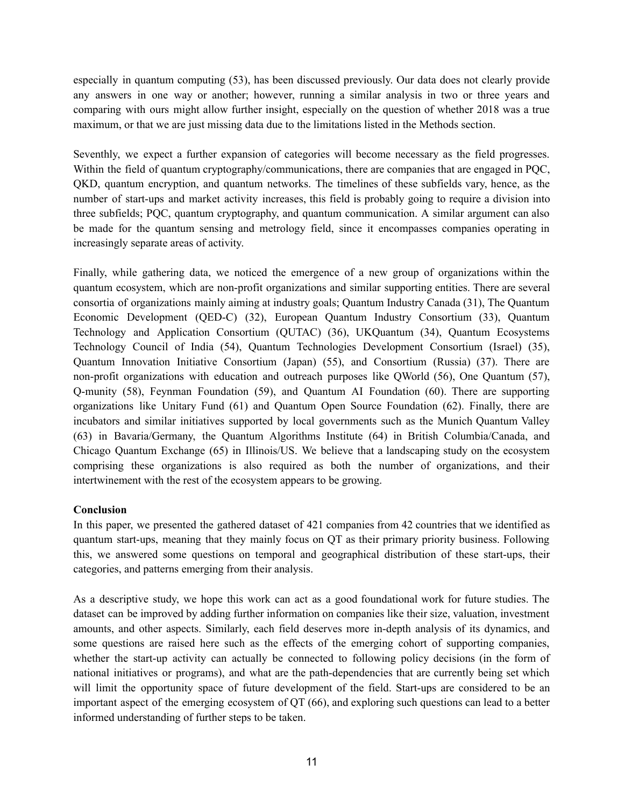especially in quantum computing [\(53\)](https://www.zotero.org/google-docs/?EHWiC1), has been discussed previously. Our data does not clearly provide any answers in one way or another; however, running a similar analysis in two or three years and comparing with ours might allow further insight, especially on the question of whether 2018 was a true maximum, or that we are just missing data due to the limitations listed in the Methods section.

Seventhly, we expect a further expansion of categories will become necessary as the field progresses. Within the field of quantum cryptography/communications, there are companies that are engaged in PQC, QKD, quantum encryption, and quantum networks. The timelines of these subfields vary, hence, as the number of start-ups and market activity increases, this field is probably going to require a division into three subfields; PQC, quantum cryptography, and quantum communication. A similar argument can also be made for the quantum sensing and metrology field, since it encompasses companies operating in increasingly separate areas of activity.

Finally, while gathering data, we noticed the emergence of a new group of organizations within the quantum ecosystem, which are non-profit organizations and similar supporting entities. There are several consortia of organizations mainly aiming at industry goals; Quantum Industry Canada [\(31\)](https://www.zotero.org/google-docs/?9TJCRN), The Quantum Economic Development (QED-C) [\(32\),](https://www.zotero.org/google-docs/?87arZm) European Quantum Industry Consortium [\(33\),](https://www.zotero.org/google-docs/?ElDjzs) Quantum Technology and Application Consortium (QUTAC) [\(36\)](https://www.zotero.org/google-docs/?VnTvR7), UKQuantum [\(34\),](https://www.zotero.org/google-docs/?NOMuLI) Quantum Ecosystems Technology Council of India [\(54\),](https://www.zotero.org/google-docs/?DfmaIR) Quantum Technologies Development Consortium (Israel) [\(35\),](https://www.zotero.org/google-docs/?rf0oAa) Quantum Innovation Initiative Consortium (Japan) [\(55\)](https://www.zotero.org/google-docs/?2Mkt6l), and Consortium (Russia) [\(37\)](https://www.zotero.org/google-docs/?I0vYRn). There are non-profit organizations with education and outreach purposes like QWorld [\(56\)](https://www.zotero.org/google-docs/?MAODZO), One Quantum [\(57\)](https://www.zotero.org/google-docs/?oUxTep), Q-munity [\(58\),](https://www.zotero.org/google-docs/?tInaLO) Feynman Foundation [\(59\)](https://www.zotero.org/google-docs/?O3OKh8), and Quantum AI Foundation [\(60\).](https://www.zotero.org/google-docs/?Mu6AVs) There are supporting organizations like Unitary Fund [\(61\)](https://www.zotero.org/google-docs/?iepwf2) and Quantum Open Source Foundation [\(62\).](https://www.zotero.org/google-docs/?Le8F4A) Finally, there are incubators and similar initiatives supported by local governments such as the Munich Quantum Valley [\(63\)](https://www.zotero.org/google-docs/?6LXw5X) in Bavaria/Germany, the Quantum Algorithms Institute [\(64\)](https://www.zotero.org/google-docs/?9lFx0r) in British Columbia/Canada, and Chicago Quantum Exchange [\(65\)](https://www.zotero.org/google-docs/?Lmr9du) in Illinois/US. We believe that a landscaping study on the ecosystem comprising these organizations is also required as both the number of organizations, and their intertwinement with the rest of the ecosystem appears to be growing.

# **Conclusion**

In this paper, we presented the gathered dataset of 421 companies from 42 countries that we identified as quantum start-ups, meaning that they mainly focus on QT as their primary priority business. Following this, we answered some questions on temporal and geographical distribution of these start-ups, their categories, and patterns emerging from their analysis.

As a descriptive study, we hope this work can act as a good foundational work for future studies. The dataset can be improved by adding further information on companies like their size, valuation, investment amounts, and other aspects. Similarly, each field deserves more in-depth analysis of its dynamics, and some questions are raised here such as the effects of the emerging cohort of supporting companies, whether the start-up activity can actually be connected to following policy decisions (in the form of national initiatives or programs), and what are the path-dependencies that are currently being set which will limit the opportunity space of future development of the field. Start-ups are considered to be an important aspect of the emerging ecosystem of QT [\(66\)](https://www.zotero.org/google-docs/?LGdE0s), and exploring such questions can lead to a better informed understanding of further steps to be taken.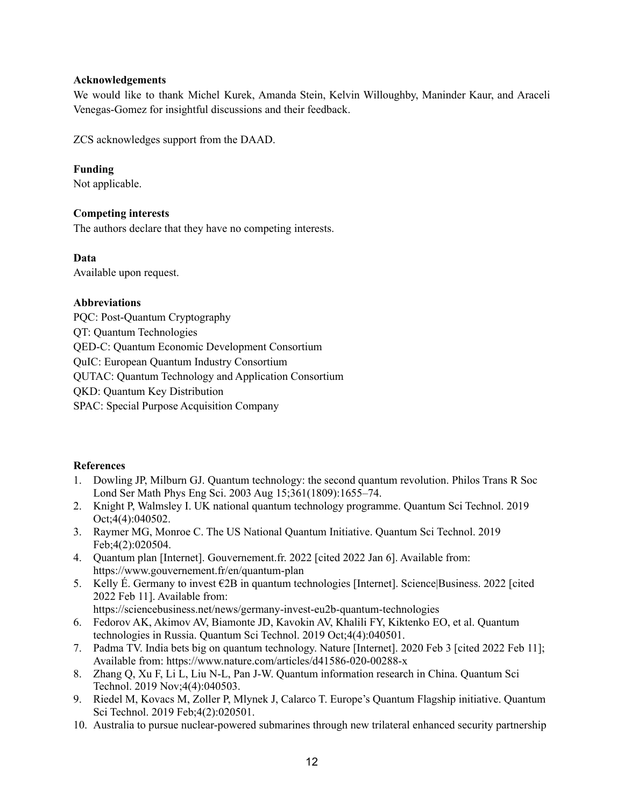## **Acknowledgements**

We would like to thank Michel Kurek, Amanda Stein, Kelvin Willoughby, Maninder Kaur, and Araceli Venegas-Gomez for insightful discussions and their feedback.

ZCS acknowledges support from the DAAD.

## **Funding**

Not applicable.

## **Competing interests**

The authors declare that they have no competing interests.

## **Data**

Available upon request.

## **Abbreviations**

PQC: Post-Quantum Cryptography QT: Quantum Technologies QED-C: Quantum Economic Development Consortium QuIC: European Quantum Industry Consortium QUTAC: Quantum Technology and Application Consortium QKD: Quantum Key Distribution SPAC: Special Purpose Acquisition Company

# **References**

- 1. Dowling JP, Milburn GJ. Quantum [technology:](https://www.zotero.org/google-docs/?amhdNM) the second quantum revolution. Philos Trans R Soc Lond Ser Math Phys Eng Sci. 2003 Aug [15;361\(1809\):1655–74.](https://www.zotero.org/google-docs/?amhdNM)
- 2. Knight P, Walmsley I. UK national quantum technology [programme.](https://www.zotero.org/google-docs/?amhdNM) Quantum Sci Technol. 2019 [Oct;4\(4\):040502.](https://www.zotero.org/google-docs/?amhdNM)
- 3. Raymer MG, Monroe C. The US National Quantum [Initiative.](https://www.zotero.org/google-docs/?amhdNM) Quantum Sci Technol. 2019 [Feb;4\(2\):020504.](https://www.zotero.org/google-docs/?amhdNM)
- 4. Quantum plan [Internet]. [Gouvernement.fr.](https://www.zotero.org/google-docs/?amhdNM) 2022 [cited 2022 Jan 6]. Available from: [https://www.gouvernement.fr/en/quantum-plan](https://www.zotero.org/google-docs/?amhdNM)
- 5. Kelly É. Germany to invest €2B in quantum technologies [Internet]. [Science|Business.](https://www.zotero.org/google-docs/?amhdNM) 2022 [cited 2022 Feb 11]. [Available](https://www.zotero.org/google-docs/?amhdNM) from:

[https://sciencebusiness.net/news/germany-invest-eu2b-quantum-technologies](https://www.zotero.org/google-docs/?amhdNM)

- 6. Fedorov AK, Akimov AV, [Biamonte](https://www.zotero.org/google-docs/?amhdNM) JD, Kavokin AV, Khalili FY, Kiktenko EO, et al. Quantum technologies in Russia. Quantum Sci Technol. 2019 [Oct;4\(4\):040501.](https://www.zotero.org/google-docs/?amhdNM)
- 7. Padma TV. India bets big on quantum [technology.](https://www.zotero.org/google-docs/?amhdNM) Nature [Internet]. 2020 Feb 3 [cited 2022 Feb 11]; Available from: [https://www.nature.com/articles/d41586-020-00288-x](https://www.zotero.org/google-docs/?amhdNM)
- 8. Zhang Q, Xu F, Li L, Liu N-L, Pan J-W. Quantum [information](https://www.zotero.org/google-docs/?amhdNM) research in China. Quantum Sci Technol. 2019 [Nov;4\(4\):040503.](https://www.zotero.org/google-docs/?amhdNM)
- 9. Riedel M, Kovacs M, Zoller P, Mlynek J, Calarco T. Europe's Quantum Flagship [initiative.](https://www.zotero.org/google-docs/?amhdNM) Quantum Sci Technol. 2019 [Feb;4\(2\):020501.](https://www.zotero.org/google-docs/?amhdNM)
- 10. Australia to pursue [nuclear-powered](https://www.zotero.org/google-docs/?amhdNM) submarines through new trilateral enhanced security partnership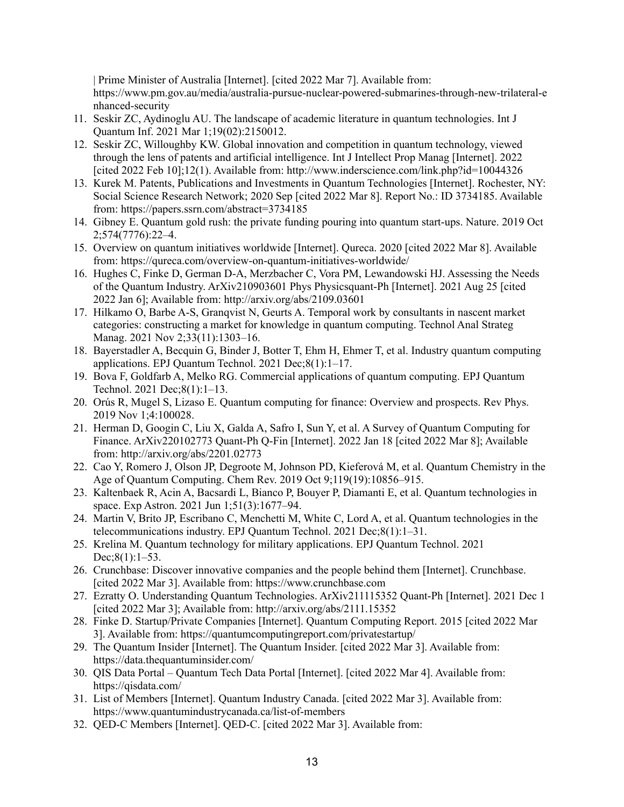| Prime Minister of Australia [\[Internet\].](https://www.zotero.org/google-docs/?amhdNM) [cited 2022 Mar 7]. Available from: [https://www.pm.gov.au/media/australia-pursue-nuclear-powered-submarines-through-new-trilateral-e](https://www.zotero.org/google-docs/?amhdNM) [nhanced-security](https://www.zotero.org/google-docs/?amhdNM)

- 11. Seskir ZC, Aydinoglu AU. The landscape of academic literature in quantum [technologies.](https://www.zotero.org/google-docs/?amhdNM) Int J Quantum Inf. 2021 Mar [1;19\(02\):2150012.](https://www.zotero.org/google-docs/?amhdNM)
- 12. Seskir ZC, Willoughby KW. Global innovation and [competition](https://www.zotero.org/google-docs/?amhdNM) in quantum technology, viewed through the lens of patents and artificial [intelligence.](https://www.zotero.org/google-docs/?amhdNM) Int J Intellect Prop Manag [Internet]. 2022 [cited 2022 Feb 10];12(1). Available from: [http://www.inderscience.com/link.php?id=10044326](https://www.zotero.org/google-docs/?amhdNM)
- 13. Kurek M. Patents, Publications and Investments in Quantum [Technologies](https://www.zotero.org/google-docs/?amhdNM) [Internet]. Rochester, NY: Social Science Research Network; 2020 Sep [cited 2022 Mar 8]. Report No.: ID 3734185. [Available](https://www.zotero.org/google-docs/?amhdNM) from: [https://papers.ssrn.com/abstract=3734185](https://www.zotero.org/google-docs/?amhdNM)
- 14. Gibney E. [Quantum](https://www.zotero.org/google-docs/?amhdNM) gold rush: the private funding pouring into quantum start-ups. Nature. 2019 Oct [2;574\(7776\):22–4.](https://www.zotero.org/google-docs/?amhdNM)
- 15. Overview on quantum initiatives [worldwide](https://www.zotero.org/google-docs/?amhdNM) [Internet]. Qureca. 2020 [cited 2022 Mar 8]. Available from: [https://qureca.com/overview-on-quantum-initiatives-worldwide/](https://www.zotero.org/google-docs/?amhdNM)
- 16. Hughes C, Finke D, German D-A, Merzbacher C, Vora PM, [Lewandowski](https://www.zotero.org/google-docs/?amhdNM) HJ. Assessing the Needs of the Quantum Industry. [ArXiv210903601](https://www.zotero.org/google-docs/?amhdNM) Phys Physicsquant-Ph [Internet]. 2021 Aug 25 [cited 2022 Jan 6]; Available from: [http://arxiv.org/abs/2109.03601](https://www.zotero.org/google-docs/?amhdNM)
- 17. Hilkamo O, Barbe A-S, Granqvist N, Geurts A. Temporal work by [consultants](https://www.zotero.org/google-docs/?amhdNM) in nascent market categories: [constructing](https://www.zotero.org/google-docs/?amhdNM) a market for knowledge in quantum computing. Technol Anal Strateg Manag. 2021 Nov 2;33(11):1303-16.
- 18. [Bayerstadler](https://www.zotero.org/google-docs/?amhdNM) A, Becquin G, Binder J, Botter T, Ehm H, Ehmer T, et al. Industry quantum computing applications. EPJ Quantum Technol. 2021 [Dec;8\(1\):1–17.](https://www.zotero.org/google-docs/?amhdNM)
- 19. Bova F, Goldfarb A, Melko RG. [Commercial](https://www.zotero.org/google-docs/?amhdNM) applications of quantum computing. EPJ Quantum Technol. 2021 [Dec;8\(1\):1–13.](https://www.zotero.org/google-docs/?amhdNM)
- 20. Orús R, Mugel S, Lizaso E. Quantum [computing](https://www.zotero.org/google-docs/?amhdNM) for finance: Overview and prospects. Rev Phys. 2019 Nov [1;4:100028.](https://www.zotero.org/google-docs/?amhdNM)
- 21. Herman D, Googin C, Liu X, Galda A, Safro I, Sun Y, et al. A Survey of Quantum [Computing](https://www.zotero.org/google-docs/?amhdNM) for Finance. [ArXiv220102773](https://www.zotero.org/google-docs/?amhdNM) Quant-Ph Q-Fin [Internet]. 2022 Jan 18 [cited 2022 Mar 8]; Available from: [http://arxiv.org/abs/2201.02773](https://www.zotero.org/google-docs/?amhdNM)
- 22. Cao Y, Romero J, Olson JP, Degroote M, Johnson PD, Kieferová M, et al. Quantum [Chemistry](https://www.zotero.org/google-docs/?amhdNM) in the Age of Quantum Computing. Chem Rev. 2019 Oct [9;119\(19\):10856–915.](https://www.zotero.org/google-docs/?amhdNM)
- 23. Kaltenbaek R, Acin A, Bacsardi L, Bianco P, Bouyer P, Diamanti E, et al. Quantum [technologies](https://www.zotero.org/google-docs/?amhdNM) in space. Exp Astron. 2021 Jun [1;51\(3\):1677–94.](https://www.zotero.org/google-docs/?amhdNM)
- 24. Martin V, Brito JP, Escribano C, Menchetti M, White C, Lord A, et al. Quantum [technologies](https://www.zotero.org/google-docs/?amhdNM) in the [telecommunications](https://www.zotero.org/google-docs/?amhdNM) industry. EPJ Quantum Technol. 2021 Dec;8(1):1–31.
- 25. Krelina M. Quantum technology for military [applications.](https://www.zotero.org/google-docs/?amhdNM) EPJ Quantum Technol. 2021  $Dec:8(1):1-53.$
- 26. [Crunchbase:](https://www.zotero.org/google-docs/?amhdNM) Discover innovative companies and the people behind them [Internet]. Crunchbase. [cited 2022 Mar 3]. Available from: [https://www.crunchbase.com](https://www.zotero.org/google-docs/?amhdNM)
- 27. Ezratty O. Understanding Quantum Technologies. [ArXiv211115352](https://www.zotero.org/google-docs/?amhdNM) Quant-Ph [Internet]. 2021 Dec 1 [cited 2022 Mar 3]; Available from: [http://arxiv.org/abs/2111.15352](https://www.zotero.org/google-docs/?amhdNM)
- 28. Finke D. [Startup/Private](https://www.zotero.org/google-docs/?amhdNM) Companies [Internet]. Quantum Computing Report. 2015 [cited 2022 Mar 3]. Available from: [https://quantumcomputingreport.com/privatestartup/](https://www.zotero.org/google-docs/?amhdNM)
- 29. The Quantum Insider [\[Internet\].](https://www.zotero.org/google-docs/?amhdNM) The Quantum Insider. [cited 2022 Mar 3]. Available from: [https://data.thequantuminsider.com/](https://www.zotero.org/google-docs/?amhdNM)
- 30. QIS Data Portal Quantum Tech Data Portal [\[Internet\].](https://www.zotero.org/google-docs/?amhdNM) [cited 2022 Mar 4]. Available from: [https://qisdata.com/](https://www.zotero.org/google-docs/?amhdNM)
- 31. List of Members [\[Internet\].](https://www.zotero.org/google-docs/?amhdNM) Quantum Industry Canada. [cited 2022 Mar 3]. Available from: [https://www.quantumindustrycanada.ca/list-of-members](https://www.zotero.org/google-docs/?amhdNM)
- 32. QED-C Members [\[Internet\].](https://www.zotero.org/google-docs/?amhdNM) QED-C. [cited 2022 Mar 3]. Available from: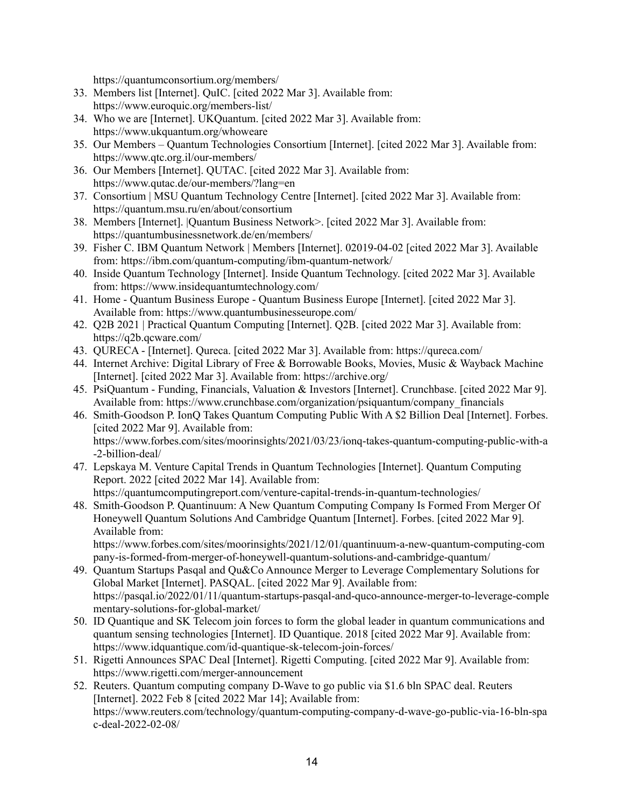[https://quantumconsortium.org/members/](https://www.zotero.org/google-docs/?amhdNM)

- 33. Members list [\[Internet\].](https://www.zotero.org/google-docs/?amhdNM) QuIC. [cited 2022 Mar 3]. Available from: [https://www.euroquic.org/members-list/](https://www.zotero.org/google-docs/?amhdNM)
- 34. Who we are [Internet]. [UKQuantum.](https://www.zotero.org/google-docs/?amhdNM) [cited 2022 Mar 3]. Available from: [https://www.ukquantum.org/whoweare](https://www.zotero.org/google-docs/?amhdNM)
- 35. Our Members Quantum [Technologies](https://www.zotero.org/google-docs/?amhdNM) Consortium [Internet]. [cited 2022 Mar 3]. Available from: [https://www.qtc.org.il/our-members/](https://www.zotero.org/google-docs/?amhdNM)
- 36. Our Members [\[Internet\].](https://www.zotero.org/google-docs/?amhdNM) QUTAC. [cited 2022 Mar 3]. Available from: [https://www.qutac.de/our-members/?lang=en](https://www.zotero.org/google-docs/?amhdNM)
- 37. [Consortium](https://www.zotero.org/google-docs/?amhdNM) | MSU Quantum Technology Centre [Internet]. [cited 2022 Mar 3]. Available from: [https://quantum.msu.ru/en/about/consortium](https://www.zotero.org/google-docs/?amhdNM)
- 38. Members [Internet]. |Quantum Business [Network>.](https://www.zotero.org/google-docs/?amhdNM) [cited 2022 Mar 3]. Available from: [https://quantumbusinessnetwork.de/en/members/](https://www.zotero.org/google-docs/?amhdNM)
- 39. Fisher C. IBM Quantum Network | Members [Internet]. [02019-04-02](https://www.zotero.org/google-docs/?amhdNM) [cited 2022 Mar 3]. Available from: [https://ibm.com/quantum-computing/ibm-quantum-network/](https://www.zotero.org/google-docs/?amhdNM)
- 40. Inside Quantum Technology [Internet]. Inside Quantum [Technology.](https://www.zotero.org/google-docs/?amhdNM) [cited 2022 Mar 3]. Available from: [https://www.insidequantumtechnology.com/](https://www.zotero.org/google-docs/?amhdNM)
- 41. Home Quantum Business Europe Quantum Business Europe [\[Internet\].](https://www.zotero.org/google-docs/?amhdNM) [cited 2022 Mar 3]. Available from: [https://www.quantumbusinesseurope.com/](https://www.zotero.org/google-docs/?amhdNM)
- 42. Q2B 2021 | Practical Quantum [Computing](https://www.zotero.org/google-docs/?amhdNM) [Internet]. Q2B. [cited 2022 Mar 3]. Available from: [https://q2b.qcware.com/](https://www.zotero.org/google-docs/?amhdNM)
- 43. QURECA [Internet]. Qureca. [cited 2022 Mar 3]. Available from: [https://qureca.com/](https://www.zotero.org/google-docs/?amhdNM)
- 44. Internet Archive: Digital Library of Free & [Borrowable](https://www.zotero.org/google-docs/?amhdNM) Books, Movies, Music & Wayback Machine [Internet]. [cited 2022 Mar 3]. Available from: [https://archive.org/](https://www.zotero.org/google-docs/?amhdNM)
- 45. PsiQuantum Funding, Financials, Valuation & Investors [Internet]. [Crunchbase.](https://www.zotero.org/google-docs/?amhdNM) [cited 2022 Mar 9]. Available from: [https://www.crunchbase.com/organization/psiquantum/company\\_financials](https://www.zotero.org/google-docs/?amhdNM)
- 46. [Smith-Goodson](https://www.zotero.org/google-docs/?amhdNM) P. IonQ Takes Quantum Computing Public With A \$2 Billion Deal [Internet]. Forbes. [cited 2022 Mar 9]. [Available](https://www.zotero.org/google-docs/?amhdNM) from: [https://www.forbes.com/sites/moorinsights/2021/03/23/ionq-takes-quantum-computing-public-with-a](https://www.zotero.org/google-docs/?amhdNM) [-2-billion-deal/](https://www.zotero.org/google-docs/?amhdNM)
- 47. Lepskaya M. Venture Capital Trends in Quantum [Technologies](https://www.zotero.org/google-docs/?amhdNM) [Internet]. Quantum Computing Report. 2022 [cited 2022 Mar 14]. [Available](https://www.zotero.org/google-docs/?amhdNM) from: [https://quantumcomputingreport.com/venture-capital-trends-in-quantum-technologies/](https://www.zotero.org/google-docs/?amhdNM)
- 48. [Smith-Goodson](https://www.zotero.org/google-docs/?amhdNM) P. Quantinuum: A New Quantum Computing Company Is Formed From Merger Of Honeywell Quantum Solutions And [Cambridge](https://www.zotero.org/google-docs/?amhdNM) Quantum [Internet]. Forbes. [cited 2022 Mar 9]. [Available](https://www.zotero.org/google-docs/?amhdNM) from:

[https://www.forbes.com/sites/moorinsights/2021/12/01/quantinuum-a-new-quantum-computing-com](https://www.zotero.org/google-docs/?amhdNM) [pany-is-formed-from-merger-of-honeywell-quantum-solutions-and-cambridge-quantum/](https://www.zotero.org/google-docs/?amhdNM)

- 49. Quantum Startups Pasqal and Qu&Co Announce Merger to Leverage [Complementary](https://www.zotero.org/google-docs/?amhdNM) Solutions for Global Market [Internet]. [PASQAL.](https://www.zotero.org/google-docs/?amhdNM) [cited 2022 Mar 9]. Available from: [https://pasqal.io/2022/01/11/quantum-startups-pasqal-and-quco-announce-merger-to-leverage-comple](https://www.zotero.org/google-docs/?amhdNM) [mentary-solutions-for-global-market/](https://www.zotero.org/google-docs/?amhdNM)
- 50. ID Quantique and SK Telecom join forces to form the global leader in quantum [communications](https://www.zotero.org/google-docs/?amhdNM) and quantum sensing [technologies](https://www.zotero.org/google-docs/?amhdNM) [Internet]. ID Quantique. 2018 [cited 2022 Mar 9]. Available from: [https://www.idquantique.com/id-quantique-sk-telecom-join-forces/](https://www.zotero.org/google-docs/?amhdNM)
- 51. Rigetti Announces SPAC Deal [Internet]. Rigetti [Computing.](https://www.zotero.org/google-docs/?amhdNM) [cited 2022 Mar 9]. Available from: [https://www.rigetti.com/merger-announcement](https://www.zotero.org/google-docs/?amhdNM)
- 52. Reuters. Quantum [computing](https://www.zotero.org/google-docs/?amhdNM) company D-Wave to go public via \$1.6 bln SPAC deal. Reuters [\[Internet\].](https://www.zotero.org/google-docs/?amhdNM) 2022 Feb 8 [cited 2022 Mar 14]; Available from: [https://www.reuters.com/technology/quantum-computing-company-d-wave-go-public-via-16-bln-spa](https://www.zotero.org/google-docs/?amhdNM) [c-deal-2022-02-08/](https://www.zotero.org/google-docs/?amhdNM)